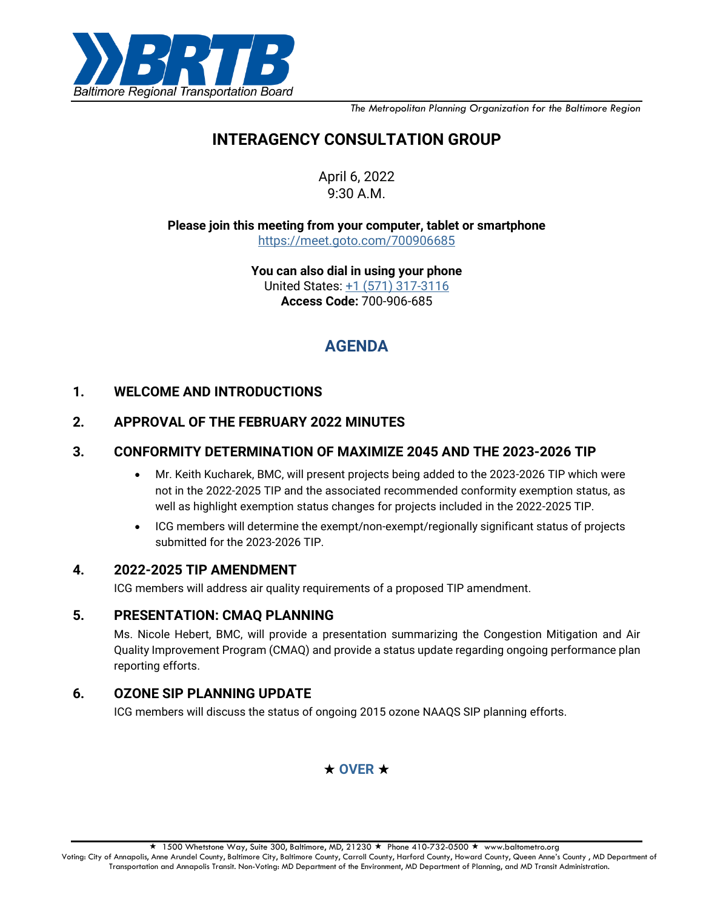

*The Metropolitan Planning Organization for the Baltimore Region*

# **INTERAGENCY CONSULTATION GROUP**

April 6, 2022 9:30 A.M.

**Please join this meeting from your computer, tablet or smartphone** <https://meet.goto.com/700906685>

> **You can also dial in using your phone** United States: [+1 \(571\) 317-3116](tel:+15713173116,,700906685) **Access Code:** 700-906-685

# **AGENDA**

## **1. WELCOME AND INTRODUCTIONS**

## **2. APPROVAL OF THE FEBRUARY 2022 MINUTES**

#### **3. CONFORMITY DETERMINATION OF MAXIMIZE 2045 AND THE 2023-2026 TIP**

- Mr. Keith Kucharek, BMC, will present projects being added to the 2023-2026 TIP which were not in the 2022-2025 TIP and the associated recommended conformity exemption status, as well as highlight exemption status changes for projects included in the 2022-2025 TIP.
- ICG members will determine the exempt/non-exempt/regionally significant status of projects submitted for the 2023-2026 TIP.

#### **4. 2022-2025 TIP AMENDMENT**

ICG members will address air quality requirements of a proposed TIP amendment.

### **5. PRESENTATION: CMAQ PLANNING**

Ms. Nicole Hebert, BMC, will provide a presentation summarizing the Congestion Mitigation and Air Quality Improvement Program (CMAQ) and provide a status update regarding ongoing performance plan reporting efforts.

### **6. OZONE SIP PLANNING UPDATE**

ICG members will discuss the status of ongoing 2015 ozone NAAQS SIP planning efforts.